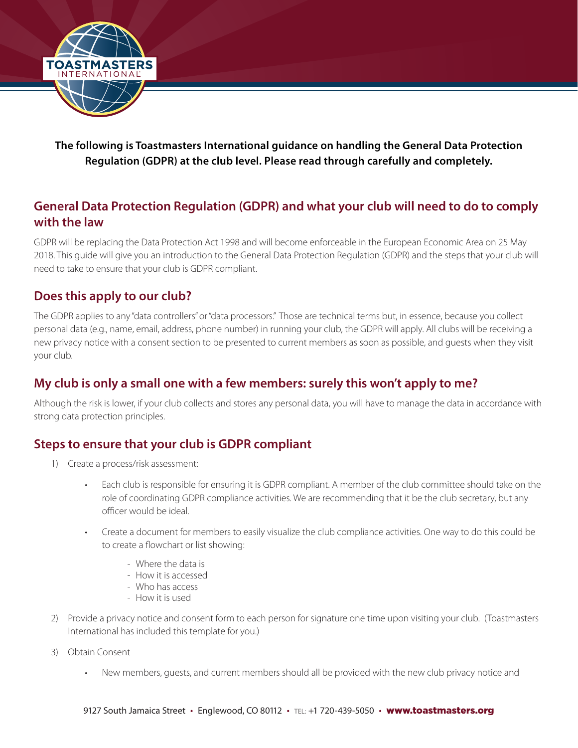

**The following is Toastmasters International guidance on handling the General Data Protection Regulation (GDPR) at the club level. Please read through carefully and completely.**

## **General Data Protection Regulation (GDPR) and what your club will need to do to comply with the law**

GDPR will be replacing the Data Protection Act 1998 and will become enforceable in the European Economic Area on 25 May 2018. This guide will give you an introduction to the General Data Protection Regulation (GDPR) and the steps that your club will need to take to ensure that your club is GDPR compliant.

### **Does this apply to our club?**

The GDPR applies to any "data controllers" or "data processors." Those are technical terms but, in essence, because you collect personal data (e.g., name, email, address, phone number) in running your club, the GDPR will apply. All clubs will be receiving a new privacy notice with a consent section to be presented to current members as soon as possible, and guests when they visit your club.

# **My club is only a small one with a few members: surely this won't apply to me?**

Although the risk is lower, if your club collects and stores any personal data, you will have to manage the data in accordance with strong data protection principles.

## **Steps to ensure that your club is GDPR compliant**

- 1) Create a process/risk assessment:
	- Each club is responsible for ensuring it is GDPR compliant. A member of the club committee should take on the role of coordinating GDPR compliance activities. We are recommending that it be the club secretary, but any officer would be ideal.
	- Create a document for members to easily visualize the club compliance activities. One way to do this could be to create a flowchart or list showing:
		- Where the data is
		- How it is accessed
		- Who has access
		- How it is used
- 2) Provide a privacy notice and consent form to each person for signature one time upon visiting your club. (Toastmasters International has included this template for you.)
- 3) Obtain Consent
	- New members, guests, and current members should all be provided with the new club privacy notice and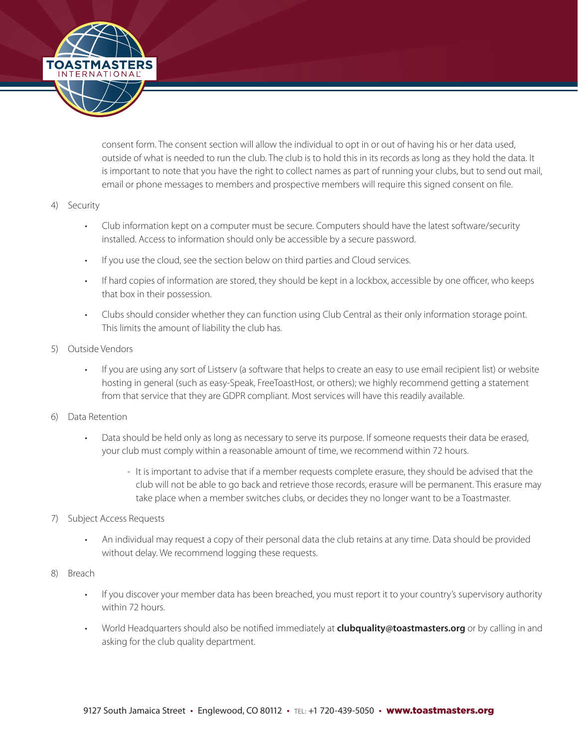

consent form. The consent section will allow the individual to opt in or out of having his or her data used, outside of what is needed to run the club. The club is to hold this in its records as long as they hold the data. It is important to note that you have the right to collect names as part of running your clubs, but to send out mail, email or phone messages to members and prospective members will require this signed consent on file.

#### 4) Security

- Club information kept on a computer must be secure. Computers should have the latest software/security installed. Access to information should only be accessible by a secure password.
- If you use the cloud, see the section below on third parties and Cloud services.
- If hard copies of information are stored, they should be kept in a lockbox, accessible by one officer, who keeps that box in their possession.
- Clubs should consider whether they can function using Club Central as their only information storage point. This limits the amount of liability the club has.
- 5) Outside Vendors
	- If you are using any sort of Listserv (a software that helps to create an easy to use email recipient list) or website hosting in general (such as easy-Speak, FreeToastHost, or others); we highly recommend getting a statement from that service that they are GDPR compliant. Most services will have this readily available.
- 6) Data Retention
	- Data should be held only as long as necessary to serve its purpose. If someone requests their data be erased, your club must comply within a reasonable amount of time, we recommend within 72 hours.
		- It is important to advise that if a member requests complete erasure, they should be advised that the club will not be able to go back and retrieve those records, erasure will be permanent. This erasure may take place when a member switches clubs, or decides they no longer want to be a Toastmaster.
- 7) Subject Access Requests
	- An individual may request a copy of their personal data the club retains at any time. Data should be provided without delay. We recommend logging these requests.
- 8) Breach
	- If you discover your member data has been breached, you must report it to your country's supervisory authority within 72 hours.
	- World Headquarters should also be notified immediately at **clubquality@toastmasters.org** or by calling in and asking for the club quality department.